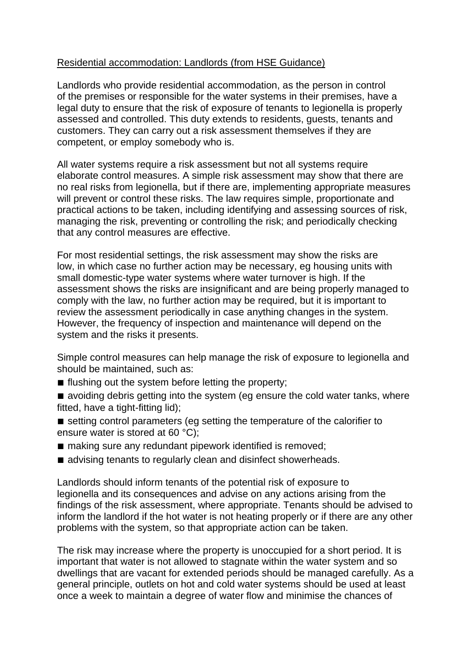## Residential accommodation: Landlords (from HSE Guidance)

Landlords who provide residential accommodation, as the person in control of the premises or responsible for the water systems in their premises, have a legal duty to ensure that the risk of exposure of tenants to legionella is properly assessed and controlled. This duty extends to residents, guests, tenants and customers. They can carry out a risk assessment themselves if they are competent, or employ somebody who is.

All water systems require a risk assessment but not all systems require elaborate control measures. A simple risk assessment may show that there are no real risks from legionella, but if there are, implementing appropriate measures will prevent or control these risks. The law requires simple, proportionate and practical actions to be taken, including identifying and assessing sources of risk, managing the risk, preventing or controlling the risk; and periodically checking that any control measures are effective.

For most residential settings, the risk assessment may show the risks are low, in which case no further action may be necessary, eg housing units with small domestic-type water systems where water turnover is high. If the assessment shows the risks are insignificant and are being properly managed to comply with the law, no further action may be required, but it is important to review the assessment periodically in case anything changes in the system. However, the frequency of inspection and maintenance will depend on the system and the risks it presents.

Simple control measures can help manage the risk of exposure to legionella and should be maintained, such as:

- flushing out the system before letting the property;
- avoiding debris getting into the system (eg ensure the cold water tanks, where fitted, have a tight-fitting lid);
- setting control parameters (eg setting the temperature of the calorifier to ensure water is stored at 60 °C);
- making sure any redundant pipework identified is removed;
- advising tenants to regularly clean and disinfect showerheads.

Landlords should inform tenants of the potential risk of exposure to legionella and its consequences and advise on any actions arising from the findings of the risk assessment, where appropriate. Tenants should be advised to inform the landlord if the hot water is not heating properly or if there are any other problems with the system, so that appropriate action can be taken.

The risk may increase where the property is unoccupied for a short period. It is important that water is not allowed to stagnate within the water system and so dwellings that are vacant for extended periods should be managed carefully. As a general principle, outlets on hot and cold water systems should be used at least once a week to maintain a degree of water flow and minimise the chances of